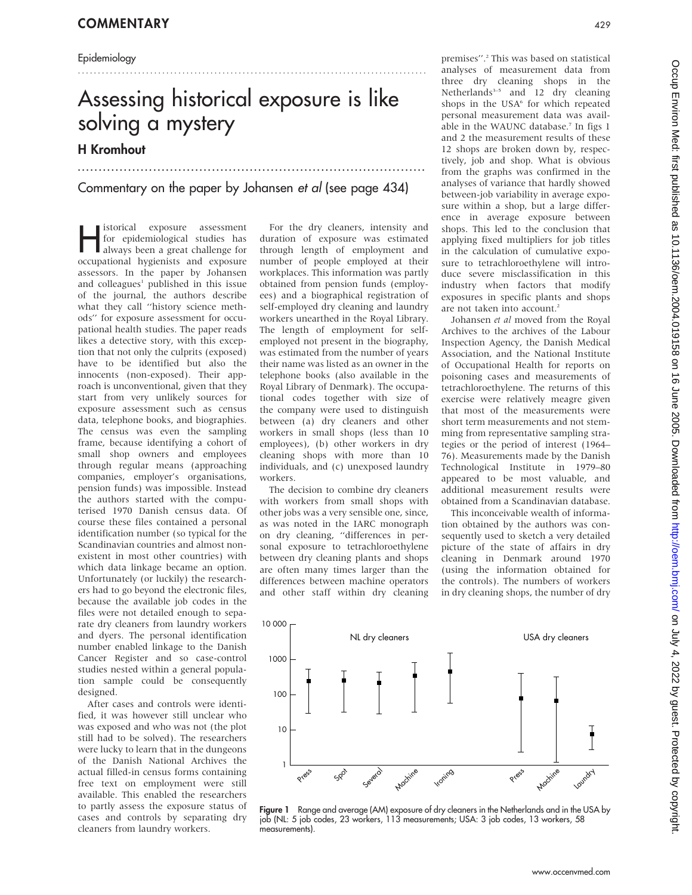#### Epidemiology

## Assessing historical exposure is like solving a mystery H Kromhout

.......................................................................................

...................................................................................

Commentary on the paper by Johansen et al (see page 434)

**Hermitted Exposure assessment**<br>for epidemiological studies has<br>always been a great challenge for for epidemiological studies has occupational hygienists and exposure assessors. In the paper by Johansen and colleagues<sup>1</sup> published in this issue of the journal, the authors describe what they call ''history science methods'' for exposure assessment for occupational health studies. The paper reads likes a detective story, with this exception that not only the culprits (exposed) have to be identified but also the innocents (non-exposed). Their approach is unconventional, given that they start from very unlikely sources for exposure assessment such as census data, telephone books, and biographies. The census was even the sampling frame, because identifying a cohort of small shop owners and employees through regular means (approaching companies, employer's organisations, pension funds) was impossible. Instead the authors started with the computerised 1970 Danish census data. Of course these files contained a personal identification number (so typical for the Scandinavian countries and almost nonexistent in most other countries) with which data linkage became an option. Unfortunately (or luckily) the researchers had to go beyond the electronic files, because the available job codes in the files were not detailed enough to separate dry cleaners from laundry workers and dyers. The personal identification number enabled linkage to the Danish Cancer Register and so case-control studies nested within a general population sample could be consequently designed.

After cases and controls were identified, it was however still unclear who was exposed and who was not (the plot still had to be solved). The researchers were lucky to learn that in the dungeons of the Danish National Archives the actual filled-in census forms containing free text on employment were still available. This enabled the researchers to partly assess the exposure status of cases and controls by separating dry cleaners from laundry workers.

For the dry cleaners, intensity and duration of exposure was estimated through length of employment and number of people employed at their workplaces. This information was partly obtained from pension funds (employees) and a biographical registration of self-employed dry cleaning and laundry workers unearthed in the Royal Library. The length of employment for selfemployed not present in the biography, was estimated from the number of years their name was listed as an owner in the telephone books (also available in the Royal Library of Denmark). The occupational codes together with size of the company were used to distinguish between (a) dry cleaners and other workers in small shops (less than 10 employees), (b) other workers in dry cleaning shops with more than 10 individuals, and (c) unexposed laundry workers.

The decision to combine dry cleaners with workers from small shops with other jobs was a very sensible one, since, as was noted in the IARC monograph on dry cleaning, ''differences in personal exposure to tetrachloroethylene between dry cleaning plants and shops are often many times larger than the differences between machine operators and other staff within dry cleaning

premises".<sup>2</sup> This was based on statistical analyses of measurement data from three dry cleaning shops in the Netherlands $3-5$  and 12 dry cleaning shops in the USA<sup>6</sup> for which repeated personal measurement data was available in the WAUNC database.<sup>7</sup> In figs 1 and 2 the measurement results of these 12 shops are broken down by, respectively, job and shop. What is obvious from the graphs was confirmed in the analyses of variance that hardly showed between-job variability in average exposure within a shop, but a large difference in average exposure between shops. This led to the conclusion that applying fixed multipliers for job titles in the calculation of cumulative exposure to tetrachloroethylene will introduce severe misclassification in this industry when factors that modify exposures in specific plants and shops are not taken into account.<sup>2</sup>

Johansen et al moved from the Royal Archives to the archives of the Labour Inspection Agency, the Danish Medical Association, and the National Institute of Occupational Health for reports on poisoning cases and measurements of tetrachloroethylene. The returns of this exercise were relatively meagre given that most of the measurements were short term measurements and not stemming from representative sampling strategies or the period of interest (1964– 76). Measurements made by the Danish Technological Institute in 1979–80 appeared to be most valuable, and additional measurement results were obtained from a Scandinavian database.

This inconceivable wealth of information obtained by the authors was consequently used to sketch a very detailed picture of the state of affairs in dry cleaning in Denmark around 1970 (using the information obtained for the controls). The numbers of workers in dry cleaning shops, the number of dry



Figure 1 Range and average (AM) exposure of dry cleaners in the Netherlands and in the USA by job (NL: 5 job codes, 23 workers, 113 measurements; USA: 3 job codes, 13 workers, 58 measurements).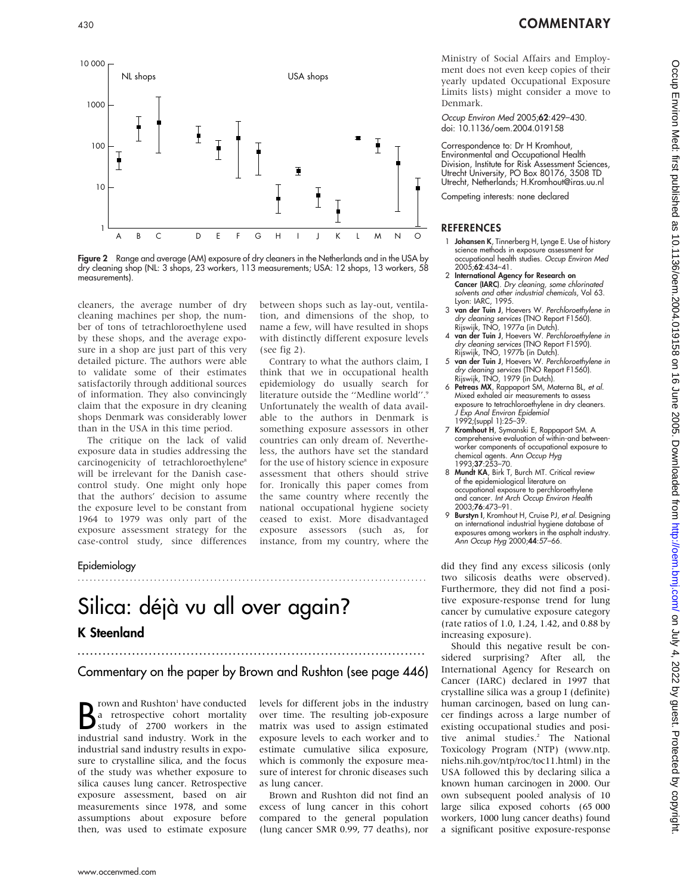



Figure 2 Range and average (AM) exposure of dry cleaners in the Netherlands and in the USA by dry cleaning shop (NL: 3 shops, 23 workers, 113 measurements; USA: 12 shops, 13 workers, 58 measurements).

(see fig 2).

cleaners, the average number of dry cleaning machines per shop, the number of tons of tetrachloroethylene used by these shops, and the average exposure in a shop are just part of this very detailed picture. The authors were able to validate some of their estimates satisfactorily through additional sources of information. They also convincingly claim that the exposure in dry cleaning shops Denmark was considerably lower than in the USA in this time period.

The critique on the lack of valid exposure data in studies addressing the carcinogenicity of tetrachloroethylene<sup>8</sup> will be irrelevant for the Danish casecontrol study. One might only hope that the authors' decision to assume the exposure level to be constant from 1964 to 1979 was only part of the exposure assessment strategy for the case-control study, since differences

#### Epidemiology

## Silica: déjà vu all over again? K Steenland

### Commentary on the paper by Brown and Rushton (see page 446)

.......................................................................................

**B** rown and Rushton' have conducted<br>a retrospective cohort mortality<br>study of 2700 workers in the<br>industrial sand industry. Work in the rown and Rushton<sup>1</sup> have conducted a retrospective cohort mortality study of 2700 workers in the industrial sand industry results in exposure to crystalline silica, and the focus of the study was whether exposure to silica causes lung cancer. Retrospective exposure assessment, based on air measurements since 1978, and some assumptions about exposure before then, was used to estimate exposure

...................................................................................

levels for different jobs in the industry over time. The resulting job-exposure matrix was used to assign estimated exposure levels to each worker and to estimate cumulative silica exposure, which is commonly the exposure measure of interest for chronic diseases such as lung cancer.

between shops such as lay-out, ventilation, and dimensions of the shop, to name a few, will have resulted in shops with distinctly different exposure levels

Contrary to what the authors claim, I think that we in occupational health epidemiology do usually search for literature outside the "Medline world".<sup>9</sup> Unfortunately the wealth of data available to the authors in Denmark is something exposure assessors in other countries can only dream of. Nevertheless, the authors have set the standard for the use of history science in exposure assessment that others should strive for. Ironically this paper comes from the same country where recently the national occupational hygiene society ceased to exist. More disadvantaged exposure assessors (such as, for instance, from my country, where the

Brown and Rushton did not find an excess of lung cancer in this cohort compared to the general population (lung cancer SMR 0.99, 77 deaths), nor

Ministry of Social Affairs and Employment does not even keep copies of their yearly updated Occupational Exposure Limits lists) might consider a move to Denmark.

Occup Environ Med 2005;62:429–430. doi: 10.1136/oem.2004.019158

Correspondence to: Dr H Kromhout, Environmental and Occupational Health Division, Institute for Risk Assessment Sciences, Utrecht University, PO Box 80176, 3508 TD Utrecht, Netherlands; H.Kromhout@iras.uu.nl

Competing interests: none declared

#### REFERENCES

- 1 **Johansen K**, Tinnerberg H, Lynge E. Use of history science methods in exposure assessment for occupational health studies. Occup Environ Med 2005;62:434–41.
- 2 International Agency for Research on Cancer (IARC). Dry cleaning, some chlorinated solvents and other industrial chemicals, Vol 63. Lyon: IARC, 1995.
- 3 van der Tuin J, Hoevers W. Perchloroethylene in dry cleaning services (TNO Report F1560). Rijswijk, TNO, 1977a (in Dutch).
- 4 van der Tuin J, Hoevers W. Perchloroethylene in dry cleaning services (TNO Report F1590).
- Rijswijk, TNO, 1977b (in Dutch).<br>5 **van der Tuin J**, Hoevers W. *Perchloroethylene in* dry cleaning services (TNO Report F1560). Rijswijk, TNO, 1979 (in Dutch).
- Petreas MX, Rappaport SM, Materna BL, et al. Mixed exhaled air measurements to assess exposure to tetrachloroethylene in dry cleaners. J Exp Anal Environ Epidemiol 1992;(suppl 1):25–39.
- 7 Kromhout H, Symanski E, Rappaport SM. A comprehensive evaluation of within-and betweenworker components of occupational exposure to chemical agents. *Ann Occup Hyg*<br>1993;**37**:253–70.
- 8 Mundt KA, Birk T, Burch MT. Critical review of the epidemiological literature on occupational exposure to perchloroethylene and cancer. Int Arch Occup Environ Health 2003;76:473–91.
- 9 Burstyn I, Kromhout H, Cruise PJ, et al. Designing an international industrial hygiene database of exposures among workers in the asphalt industry.<br>Ann Occup Hyg 2000;**44**:57–66.

did they find any excess silicosis (only two silicosis deaths were observed). Furthermore, they did not find a positive exposure-response trend for lung cancer by cumulative exposure category (rate ratios of 1.0, 1.24, 1.42, and 0.88 by increasing exposure).

Should this negative result be considered surprising? After all, the International Agency for Research on Cancer (IARC) declared in 1997 that crystalline silica was a group I (definite) human carcinogen, based on lung cancer findings across a large number of existing occupational studies and positive animal studies.<sup>2</sup> The National Toxicology Program (NTP) (www.ntp. niehs.nih.gov/ntp/roc/toc11.html) in the USA followed this by declaring silica a known human carcinogen in 2000. Our own subsequent pooled analysis of 10 large silica exposed cohorts (65 000 workers, 1000 lung cancer deaths) found a significant positive exposure-response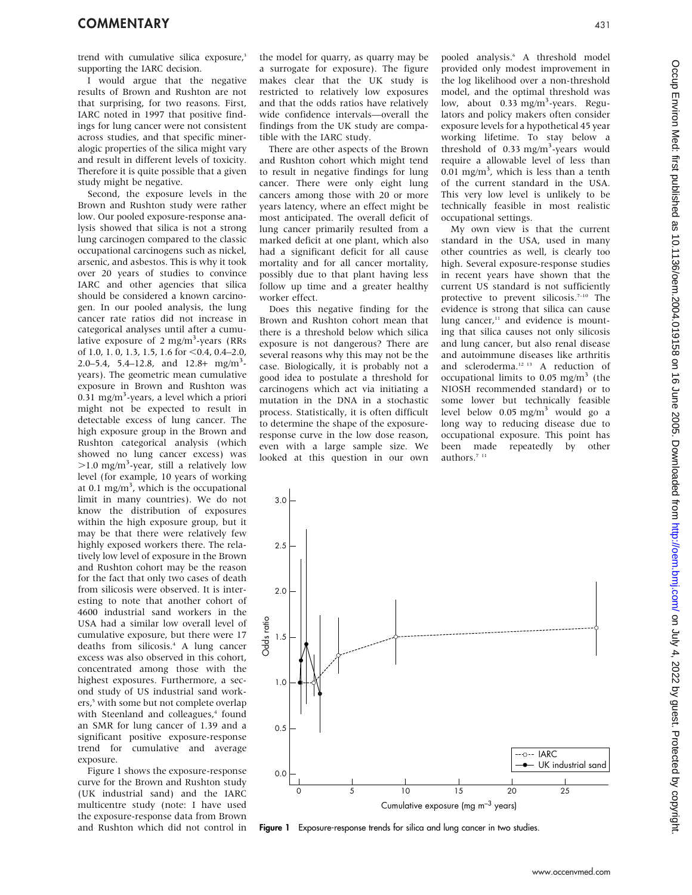trend with cumulative silica exposure,<sup>3</sup> supporting the IARC decision.

I would argue that the negative results of Brown and Rushton are not that surprising, for two reasons. First, IARC noted in 1997 that positive findings for lung cancer were not consistent across studies, and that specific mineralogic properties of the silica might vary and result in different levels of toxicity. Therefore it is quite possible that a given study might be negative.

Second, the exposure levels in the Brown and Rushton study were rather low. Our pooled exposure-response analysis showed that silica is not a strong lung carcinogen compared to the classic occupational carcinogens such as nickel, arsenic, and asbestos. This is why it took over 20 years of studies to convince IARC and other agencies that silica should be considered a known carcinogen. In our pooled analysis, the lung cancer rate ratios did not increase in categorical analyses until after a cumulative exposure of 2 mg/m<sup>3</sup>-years (RRs of 1.0, 1.0, 1.3, 1.5, 1.6 for <0.4, 0.4–2.0, 2.0–5.4, 5.4–12.8, and  $12.8 + \text{mg/m}^3$ years). The geometric mean cumulative exposure in Brown and Rushton was  $0.\overline{3}1$  mg/m<sup>3</sup>-years, a level which a priori might not be expected to result in detectable excess of lung cancer. The high exposure group in the Brown and Rushton categorical analysis (which showed no lung cancer excess) was >1.0 mg/m<sup>3</sup>-year, still a relatively low level (for example, 10 years of working at 0.1 mg/m<sup>3</sup>, which is the occupational limit in many countries). We do not know the distribution of exposures within the high exposure group, but it may be that there were relatively few highly exposed workers there. The relatively low level of exposure in the Brown and Rushton cohort may be the reason for the fact that only two cases of death from silicosis were observed. It is interesting to note that another cohort of 4600 industrial sand workers in the USA had a similar low overall level of cumulative exposure, but there were 17 deaths from silicosis.<sup>4</sup> A lung cancer excess was also observed in this cohort, concentrated among those with the highest exposures. Furthermore, a second study of US industrial sand workers,<sup>5</sup> with some but not complete overlap with Steenland and colleagues,<sup>4</sup> found an SMR for lung cancer of 1.39 and a significant positive exposure-response trend for cumulative and average exposure.

Figure 1 shows the exposure-response curve for the Brown and Rushton study (UK industrial sand) and the IARC multicentre study (note: I have used the exposure-response data from Brown and Rushton which did not control in the model for quarry, as quarry may be a surrogate for exposure). The figure makes clear that the UK study is restricted to relatively low exposures and that the odds ratios have relatively wide confidence intervals—overall the findings from the UK study are compatible with the IARC study.

There are other aspects of the Brown and Rushton cohort which might tend to result in negative findings for lung cancer. There were only eight lung cancers among those with 20 or more years latency, where an effect might be most anticipated. The overall deficit of lung cancer primarily resulted from a marked deficit at one plant, which also had a significant deficit for all cause mortality and for all cancer mortality, possibly due to that plant having less follow up time and a greater healthy worker effect.

Does this negative finding for the Brown and Rushton cohort mean that there is a threshold below which silica exposure is not dangerous? There are several reasons why this may not be the case. Biologically, it is probably not a good idea to postulate a threshold for carcinogens which act via initiating a mutation in the DNA in a stochastic process. Statistically, it is often difficult to determine the shape of the exposureresponse curve in the low dose reason, even with a large sample size. We looked at this question in our own

pooled analysis.6 A threshold model provided only modest improvement in the log likelihood over a non-threshold model, and the optimal threshold was low, about 0.33 mg/m<sup>3</sup>-years. Regulators and policy makers often consider exposure levels for a hypothetical 45 year working lifetime. To stay below a threshold of  $0.33$  mg/m<sup>3</sup>-years would require a allowable level of less than  $0.01$  mg/m<sup>3</sup>, which is less than a tenth of the current standard in the USA. This very low level is unlikely to be technically feasible in most realistic occupational settings.

My own view is that the current standard in the USA, used in many other countries as well, is clearly too high. Several exposure-response studies in recent years have shown that the current US standard is not sufficiently protective to prevent silicosis. $7-10$  The evidence is strong that silica can cause lung cancer,<sup>11</sup> and evidence is mounting that silica causes not only silicosis and lung cancer, but also renal disease and autoimmune diseases like arthritis and scleroderma.12 13 A reduction of occupational limits to  $0.05$  mg/m<sup>3</sup> (the NIOSH recommended standard) or to some lower but technically feasible level below 0.05 mg/m<sup>3</sup> would go a long way to reducing disease due to occupational exposure. This point has been made repeatedly by other authors.<sup> $711$ </sup>



Figure 1 Exposure-response trends for silica and lung cancer in two studies.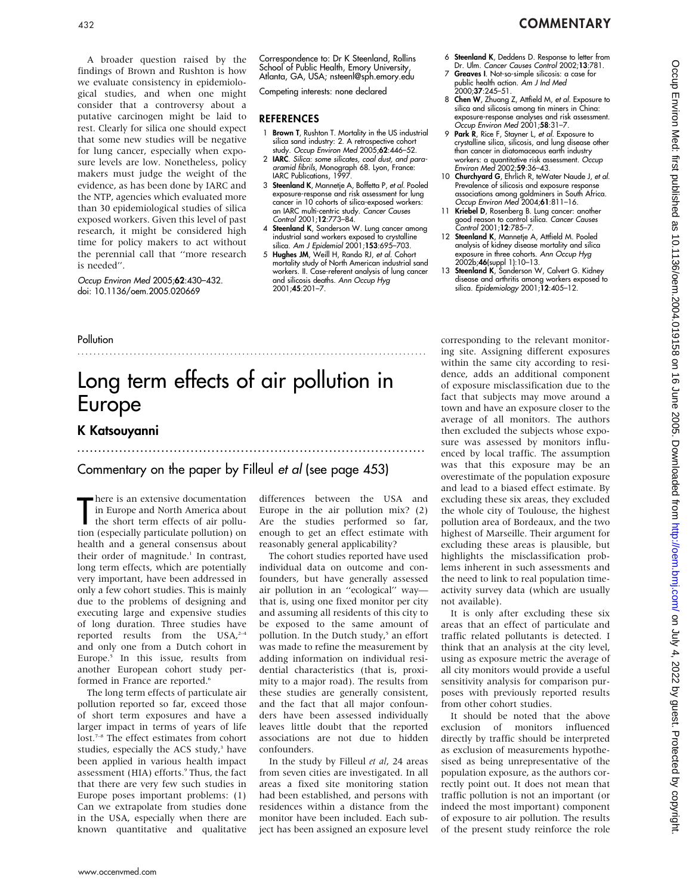A broader question raised by the findings of Brown and Rushton is how we evaluate consistency in epidemiological studies, and when one might consider that a controversy about a putative carcinogen might be laid to rest. Clearly for silica one should expect that some new studies will be negative for lung cancer, especially when exposure levels are low. Nonetheless, policy makers must judge the weight of the evidence, as has been done by IARC and the NTP, agencies which evaluated more than 30 epidemiological studies of silica exposed workers. Given this level of past research, it might be considered high time for policy makers to act without the perennial call that ''more research is needed''.

Occup Environ Med 2005;62:430–432. doi: 10.1136/oem.2005.020669

Correspondence to: Dr K Steenland, Rollins School of Public Health, Emory University, Atlanta, GA, USA; nsteenl@sph.emory.edu

Competing interests: none declared

#### REFERENCES

- 1 Brown T, Rushton T. Mortality in the US industrial silica sand industry: 2. A retrospective cohort study. Occup Environ Med 2005;62:446–52.
- 2 IARC. Silica: some silicates, coal dust, and paraaramid fibrils, Monograph 68. Lyon, France: IARC Publications, 1997.
- 3 Steenland K, Mannetje A, Boffetta P, et al. Pooled exposure-response and risk assessment for lung cancer in 10 cohorts of silica-exposed workers: an IARC multi-centric study. Cancer Causes Control 2001;12:773–84.
- 4 Steenland K, Sanderson W. Lung cancer among industrial sand workers exposed to crystalline silica. Am J Epidemiol 2001;153:695–703.
- 5 Hughes JM, Weill H, Rando RJ, et al. Cohort mortality study of North American industrial sand workers. II. Case-referent analysis of lung cancer and silicosis deaths. Ann Occup Hyg 2001;45:201–7.
- 6 Steenland K, Deddens D. Response to letter from
- Dr. Ulm. Cancer Causes Control 2002;13:781. 7 Greaves I. Not-so-simple silicosis: a case for
- public health action. *Am J Ind Med*<br>2000;**37**:245–51.
- 8 Chen W, Zhuang Z, Attfield M, et al. Exposure to silica and silicosis among tin miners in China: exposure-response analyses and risk assessment. Occup Environ Med 2001;58:31–7.
- 9 Park R, Rice F, Stayner L, et al. Exposure to crystalline silica, silicosis, and lung disease other than cancer in diatomaceous earth industry workers: a quantitative risk assessment. Occup Environ Med 2002;59:36–43.
- 10 Churchyard G, Ehrlich R, teWater Naude J, et al. Prevalence of silicosis and exposure response associations among goldminers in South Africa. Occup Environ Med 2004;61:811–16.
- 11 Kriebel D, Rosenberg B. Lung cancer: another good reason to control silica. Cancer Causes Control 2001;12:785–7.
- 12 Steenland K, Mannetje A, Attfield M. Pooled analysis of kidney disease mortality and silica exposure in three cohorts. Ann Occup Hyg 2002b;46(suppl 1):10–13.
- 13 Steenland K, Sanderson W, Calvert G. Kidney disease and arthritis among workers exposed to silica. Epidemiology 2001;12:405–12.

#### Pollution

# Long term effects of air pollution in Europe

.......................................................................................

...................................................................................

### K Katsouyanni

## Commentary on the paper by Filleul et al (see page 453)

There is an extensive documentation<br>in Europe and North America about<br>the short term effects of air pollu-<br>tion (especially particulate pollution) on here is an extensive documentation in Europe and North America about the short term effects of air polluhealth and a general consensus about their order of magnitude.<sup>1</sup> In contrast, long term effects, which are potentially very important, have been addressed in only a few cohort studies. This is mainly due to the problems of designing and executing large and expensive studies of long duration. Three studies have reported results from the  $USA^{2-4}$ and only one from a Dutch cohort in Europe.5 In this issue, results from another European cohort study performed in France are reported.<sup>6</sup>

The long term effects of particulate air pollution reported so far, exceed those of short term exposures and have a larger impact in terms of years of life lost.<sup>7-8</sup> The effect estimates from cohort studies, especially the ACS study,<sup>3</sup> have been applied in various health impact assessment (HIA) efforts.<sup>9</sup> Thus, the fact that there are very few such studies in Europe poses important problems: (1) Can we extrapolate from studies done in the USA, especially when there are known quantitative and qualitative

differences between the USA and Europe in the air pollution mix? (2) Are the studies performed so far, enough to get an effect estimate with reasonably general applicability?

The cohort studies reported have used individual data on outcome and confounders, but have generally assessed air pollution in an ''ecological'' way that is, using one fixed monitor per city and assuming all residents of this city to be exposed to the same amount of pollution. In the Dutch study,<sup>5</sup> an effort was made to refine the measurement by adding information on individual residential characteristics (that is, proximity to a major road). The results from these studies are generally consistent, and the fact that all major confounders have been assessed individually leaves little doubt that the reported associations are not due to hidden confounders.

In the study by Filleul et al, 24 areas from seven cities are investigated. In all areas a fixed site monitoring station had been established, and persons with residences within a distance from the monitor have been included. Each subject has been assigned an exposure level corresponding to the relevant monitoring site. Assigning different exposures within the same city according to residence, adds an additional component of exposure misclassification due to the fact that subjects may move around a town and have an exposure closer to the average of all monitors. The authors then excluded the subjects whose exposure was assessed by monitors influenced by local traffic. The assumption was that this exposure may be an overestimate of the population exposure and lead to a biased effect estimate. By excluding these six areas, they excluded the whole city of Toulouse, the highest pollution area of Bordeaux, and the two highest of Marseille. Their argument for excluding these areas is plausible, but highlights the misclassification problems inherent in such assessments and the need to link to real population timeactivity survey data (which are usually not available).

It is only after excluding these six areas that an effect of particulate and traffic related pollutants is detected. I think that an analysis at the city level, using as exposure metric the average of all city monitors would provide a useful sensitivity analysis for comparison purposes with previously reported results from other cohort studies.

It should be noted that the above exclusion of monitors influenced directly by traffic should be interpreted as exclusion of measurements hypothesised as being unrepresentative of the population exposure, as the authors correctly point out. It does not mean that traffic pollution is not an important (or indeed the most important) component of exposure to air pollution. The results of the present study reinforce the role